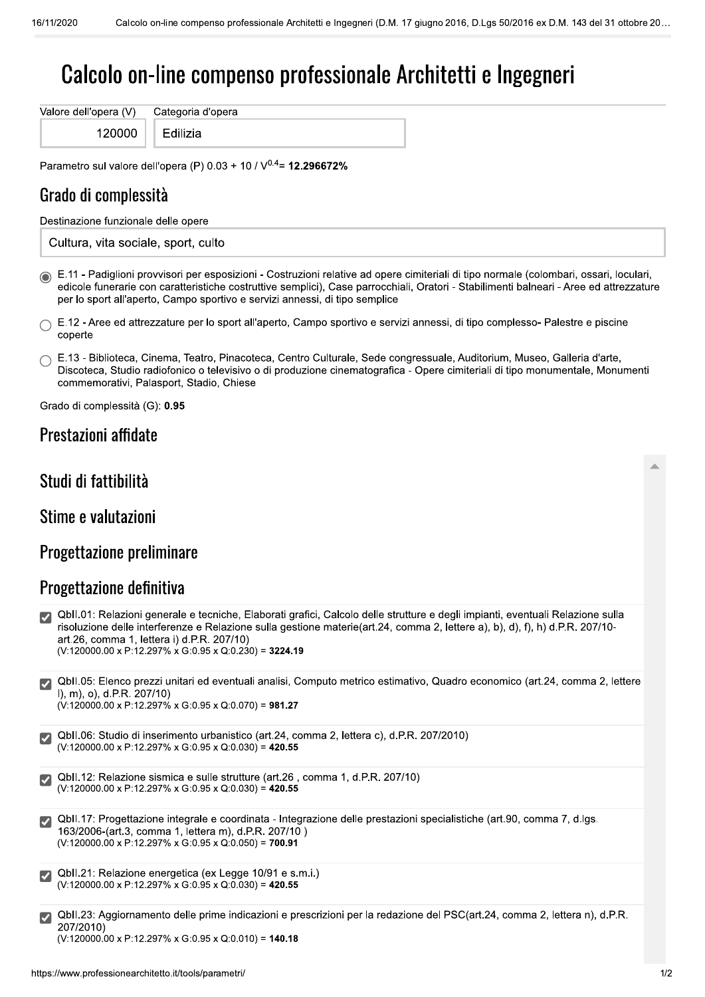# Calcolo on-line compenso professionale Architetti e Ingegneri

Valore dell'opera (V) Categoria d'opera 120000

Edilizia

Parametro sul valore dell'opera (P)  $0.03 + 10 / V^{0.4} = 12.296672\%$ 

## Grado di complessità

Destinazione funzionale delle opere

Cultura, vita sociale, sport, culto

6 E.11 - Padiglioni provvisori per esposizioni - Costruzioni relative ad opere cimiteriali di tipo normale (colombari, ossari, loculari, edicole funerarie con caratteristiche costruttive semplici), Case parrocchiali, Oratori - Stabilimenti balneari - Aree ed attrezzature per lo sport all'aperto, Campo sportivo e servizi annessi, di tipo semplice

 $\cap$  E.12 - Aree ed attrezzature per lo sport all'aperto, Campo sportivo e servizi annessi, di tipo complesso- Palestre e piscine coperte

| $\cap$ E.13 - Biblioteca, Cinema, Teatro, Pinacoteca, Centro Culturale, Sede congressuale, Auditorium, Museo, Galleria d'arte, |
|--------------------------------------------------------------------------------------------------------------------------------|
| Discoteca, Studio radiofonico o televisivo o di produzione cinematografica - Opere cimiteriali di tipo monumentale, Monumenti  |
| commemorativi, Palasport, Stadio, Chiese                                                                                       |

Grado di complessità (G): 0.95

#### Prestazioni affidate

### Studi di fattibilità

Stime e valutazioni

#### Progettazione preliminare

## Progettazione definitiva

| $ \mathcal{Y} $              | QbII.01: Relazioni generale e tecniche, Elaborati grafici, Calcolo delle strutture e degli impianti, eventuali Relazione sulla<br>risoluzione delle interferenze e Relazione sulla gestione materie(art.24, comma 2, lettere a), b), d), f), h) d.P.R. 207/10-<br>art.26, comma 1, lettera i) d.P.R. 207/10)<br>$(V:120000.00 \times P:12.297\% \times G:0.95 \times Q:0.230) = 3224.19$ |
|------------------------------|------------------------------------------------------------------------------------------------------------------------------------------------------------------------------------------------------------------------------------------------------------------------------------------------------------------------------------------------------------------------------------------|
| $\vert \checkmark \vert$     | QbII.05: Elenco prezzi unitari ed eventuali analisi, Computo metrico estimativo, Quadro economico (art.24, comma 2, lettere<br>$l$ , m), o), d.P.R. 207/10)<br>$(V:120000.00 \times P:12.297\% \times G:0.95 \times Q:0.070) = 981.27$                                                                                                                                                   |
|                              | QbII.06: Studio di inserimento urbanistico (art.24, comma 2, lettera c), d.P.R. 207/2010)<br>$(V:120000.00 \times P:12.297\% \times G:0.95 \times Q:0.030) = 420.55$                                                                                                                                                                                                                     |
|                              | Obll.12: Relazione sismica e sulle strutture (art.26, comma 1, d.P.R. 207/10)<br>$(V:120000.00 \times P:12.297\% \times G:0.95 \times Q:0.030) = 420.55$                                                                                                                                                                                                                                 |
| $\boldsymbol{\triangledown}$ | QbII.17: Progettazione integrale e coordinata - Integrazione delle prestazioni specialistiche (art.90, comma 7, d.lgs.<br>163/2006-(art.3, comma 1, lettera m), d.P.R. 207/10)<br>$(V:120000.00 \times P:12.297\% \times G:0.95 \times Q:0.050) = 700.91$                                                                                                                                |
|                              | Obll.21: Relazione energetica (ex Legge 10/91 e s.m.i.)<br>$(V:120000.00 \times P:12.297\% \times G:0.95 \times Q:0.030) = 420.55$                                                                                                                                                                                                                                                       |
| ╿┙                           | QbII.23: Aggiornamento delle prime indicazioni e prescrizioni per la redazione del PSC(art.24, comma 2, lettera n), d.P.R.<br>207/2010)                                                                                                                                                                                                                                                  |

 $(V:120000.00 \times P:12.297\% \times G:0.95 \times Q:0.010) = 140.18$